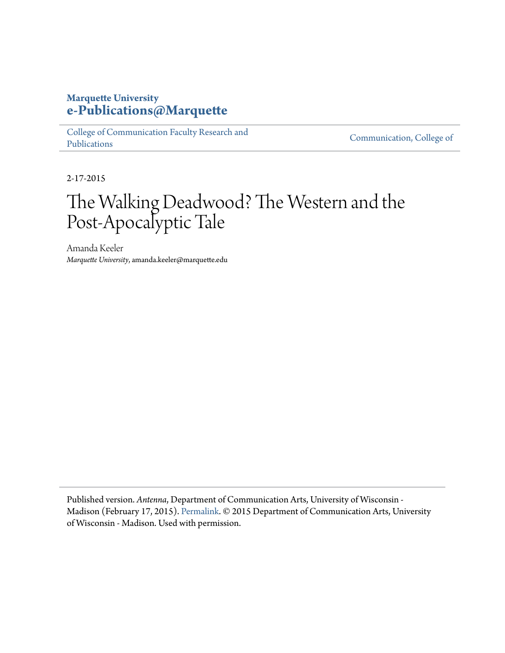## **Marquette University [e-Publications@Marquette](https://epublications.marquette.edu)**

[College of Communication Faculty Research and](https://epublications.marquette.edu/comm_fac) [Publications](https://epublications.marquette.edu/comm_fac)

[Communication, College of](https://epublications.marquette.edu/communication)

2-17-2015

## The Walking Deadwood? The Western and the Post-Apocalyptic Tale

Amanda Keeler *Marquette University*, amanda.keeler@marquette.edu

Published version. *Antenna*, Department of Communication Arts, University of Wisconsin - Madison (February 17, 2015). [Permalink.](http://blog.commarts.wisc.edu/2015/02/17/the-walking-deadwood-the-western-and-the-post-apocalyptic-tale/) © 2015 Department of Communication Arts, University of Wisconsin - Madison. Used with permission.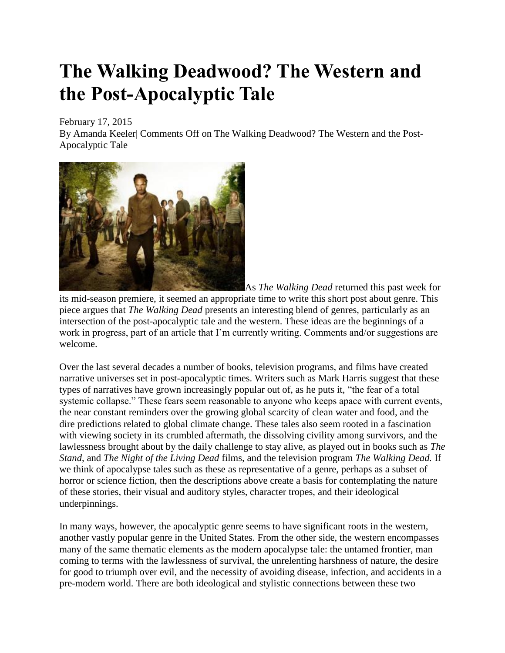## **The Walking Deadwood? The Western and the Post-Apocalyptic Tale**

February 17, 2015

By Amanda Keeler| Comments Off on The Walking Deadwood? The Western and the Post-Apocalyptic Tale



As *The Walking Dead* returned this past week for its mid-season premiere, it seemed an appropriate time to write this short post about genre. This piece argues that *The Walking Dead* presents an interesting blend of genres, particularly as an intersection of the post-apocalyptic tale and the western. These ideas are the beginnings of a work in progress, part of an article that I'm currently writing. Comments and/or suggestions are welcome.

Over the last several decades a number of books, television programs, and films have created narrative universes set in post-apocalyptic times. Writers such as Mark Harris suggest that these types of narratives have grown increasingly popular out of, as he puts it, "the fear of a total systemic collapse." These fears seem reasonable to anyone who keeps apace with current events, the near constant reminders over the growing global scarcity of clean water and food, and the dire predictions related to global climate change. These tales also seem rooted in a fascination with viewing society in its crumbled aftermath, the dissolving civility among survivors, and the lawlessness brought about by the daily challenge to stay alive, as played out in books such as *The Stand*, and *The Night of the Living Dead* films, and the television program *The Walking Dead.* If we think of apocalypse tales such as these as representative of a genre, perhaps as a subset of horror or science fiction, then the descriptions above create a basis for contemplating the nature of these stories, their visual and auditory styles, character tropes, and their ideological underpinnings.

In many ways, however, the apocalyptic genre seems to have significant roots in the western, another vastly popular genre in the United States. From the other side, the western encompasses many of the same thematic elements as the modern apocalypse tale: the untamed frontier, man coming to terms with the lawlessness of survival, the unrelenting harshness of nature, the desire for good to triumph over evil, and the necessity of avoiding disease, infection, and accidents in a pre-modern world. There are both ideological and stylistic connections between these two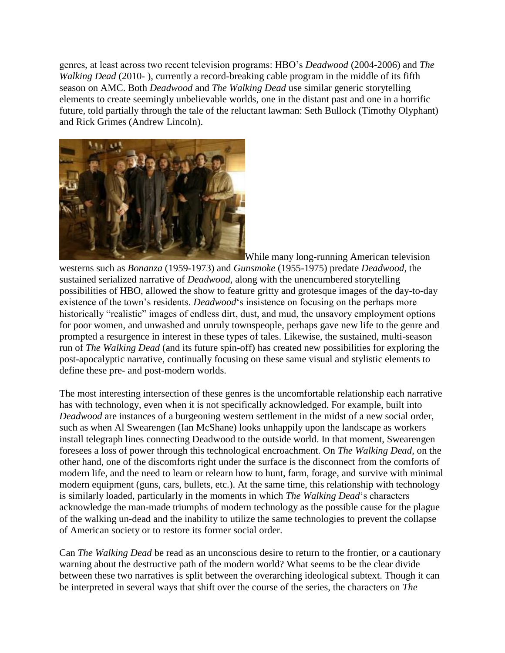genres, at least across two recent television programs: HBO's *Deadwood* (2004-2006) and *The Walking Dead* (2010- ), currently a record-breaking cable program in the middle of its fifth season on AMC. Both *Deadwood* and *The Walking Dead* use similar generic storytelling elements to create seemingly unbelievable worlds, one in the distant past and one in a horrific future, told partially through the tale of the reluctant lawman: Seth Bullock (Timothy Olyphant) and Rick Grimes (Andrew Lincoln).



While many long-running American television westerns such as *Bonanza* (1959-1973) and *Gunsmoke* (1955-1975) predate *Deadwood*, the sustained serialized narrative of *Deadwood*, along with the unencumbered storytelling possibilities of HBO, allowed the show to feature gritty and grotesque images of the day-to-day existence of the town's residents. *Deadwood*'s insistence on focusing on the perhaps more historically "realistic" images of endless dirt, dust, and mud, the unsavory employment options for poor women, and unwashed and unruly townspeople, perhaps gave new life to the genre and prompted a resurgence in interest in these types of tales. Likewise, the sustained, multi-season run of *The Walking Dead* (and its future spin-off) has created new possibilities for exploring the post-apocalyptic narrative, continually focusing on these same visual and stylistic elements to define these pre- and post-modern worlds.

The most interesting intersection of these genres is the uncomfortable relationship each narrative has with technology, even when it is not specifically acknowledged. For example, built into *Deadwood* are instances of a burgeoning western settlement in the midst of a new social order, such as when Al Swearengen (Ian McShane) looks unhappily upon the landscape as workers install telegraph lines connecting Deadwood to the outside world. In that moment, Swearengen foresees a loss of power through this technological encroachment. On *The Walking Dead*, on the other hand, one of the discomforts right under the surface is the disconnect from the comforts of modern life, and the need to learn or relearn how to hunt, farm, forage, and survive with minimal modern equipment (guns, cars, bullets, etc.). At the same time, this relationship with technology is similarly loaded, particularly in the moments in which *The Walking Dead*'s characters acknowledge the man-made triumphs of modern technology as the possible cause for the plague of the walking un-dead and the inability to utilize the same technologies to prevent the collapse of American society or to restore its former social order.

Can *The Walking Dead* be read as an unconscious desire to return to the frontier, or a cautionary warning about the destructive path of the modern world? What seems to be the clear divide between these two narratives is split between the overarching ideological subtext. Though it can be interpreted in several ways that shift over the course of the series, the characters on *The*